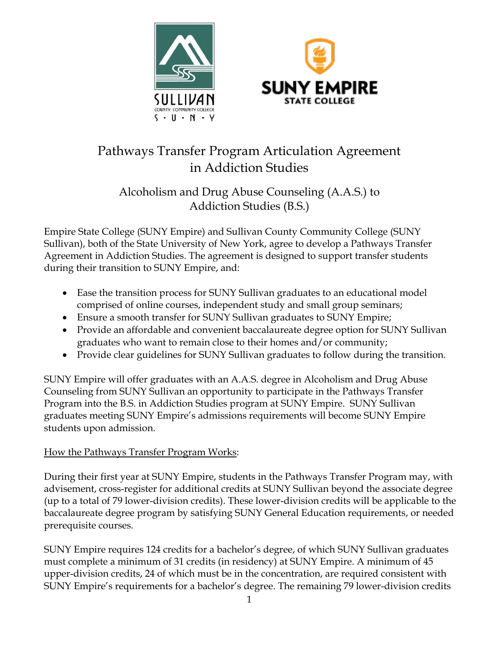



# Pathways Transfer Program Articulation Agreement in Addiction Studies

## Alcoholism and Drug Abuse Counseling (A.A.S.) to Addiction Studies (B.S.)

Empire State College (SUNY Empire) and Sullivan County Community College (SUNY Sullivan), both of the State University of New York, agree to develop a Pathways Transfer Agreement in Addiction Studies. The agreement is designed to support transfer students during their transition to SUNY Empire, and:

- Ease the transition process for SUNY Sullivan graduates to an educational model comprised of online courses, independent study and small group seminars;
- Ensure a smooth transfer for SUNY Sullivan graduates to SUNY Empire;
- Provide an affordable and convenient baccalaureate degree option for SUNY Sullivan graduates who want to remain close to their homes and/or community;
- Provide clear guidelines for SUNY Sullivan graduates to follow during the transition.

SUNY Empire will offer graduates with an A.A.S. degree in Alcoholism and Drug Abuse Counseling from SUNY Sullivan an opportunity to participate in the Pathways Transfer Program into the B.S. in Addiction Studies program at SUNY Empire. SUNY Sullivan graduates meeting SUNY Empire's admissions requirements will become SUNY Empire students upon admission.

## How the Pathways Transfer Program Works:

During their first year at SUNY Empire, students in the Pathways Transfer Program may, with advisement, cross-register for additional credits at SUNY Sullivan beyond the associate degree (up to a total of 79 lower-division credits). These lower-division credits will be applicable to the baccalaureate degree program by satisfying SUNY General Education requirements, or needed prerequisite courses.

SUNY Empire requires 124 credits for a bachelor's degree, of which SUNY Sullivan graduates must complete a minimum of 31 credits (in residency) at SUNY Empire. A minimum of 45 upper-division credits, 24 of which must be in the concentration, are required consistent with SUNY Empire's requirements for a bachelor's degree. The remaining 79 lower-division credits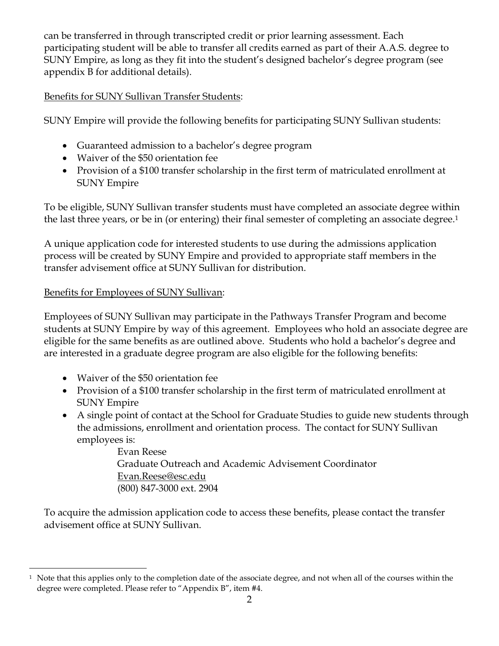can be transferred in through transcripted credit or prior learning assessment. Each participating student will be able to transfer all credits earned as part of their A.A.S. degree to SUNY Empire, as long as they fit into the student's designed bachelor's degree program (see appendix B for additional details).

## Benefits for SUNY Sullivan Transfer Students:

SUNY Empire will provide the following benefits for participating SUNY Sullivan students:

- Guaranteed admission to a bachelor's degree program
- Waiver of the \$50 orientation fee
- Provision of a \$100 transfer scholarship in the first term of matriculated enrollment at SUNY Empire

To be eligible, SUNY Sullivan transfer students must have completed an associate degree within the last three years, or be in (or entering) their final semester of completing an associate degree.<sup>1</sup>

A unique application code for interested students to use during the admissions application process will be created by SUNY Empire and provided to appropriate staff members in the transfer advisement office at SUNY Sullivan for distribution.

## Benefits for Employees of SUNY Sullivan:

Employees of SUNY Sullivan may participate in the Pathways Transfer Program and become students at SUNY Empire by way of this agreement. Employees who hold an associate degree are eligible for the same benefits as are outlined above. Students who hold a bachelor's degree and are interested in a graduate degree program are also eligible for the following benefits:

- Waiver of the \$50 orientation fee
- Provision of a \$100 transfer scholarship in the first term of matriculated enrollment at SUNY Empire
- A single point of contact at the School for Graduate Studies to guide new students through the admissions, enrollment and orientation process. The contact for SUNY Sullivan employees is:

Evan Reese Graduate Outreach and Academic Advisement Coordinator Evan.Reese@esc.edu (800) 847-3000 ext. 2904

To acquire the admission application code to access these benefits, please contact the transfer advisement office at SUNY Sullivan.

<sup>&</sup>lt;sup>1</sup> Note that this applies only to the completion date of the associate degree, and not when all of the courses within the degree were completed. Please refer to "Appendix B", item #4.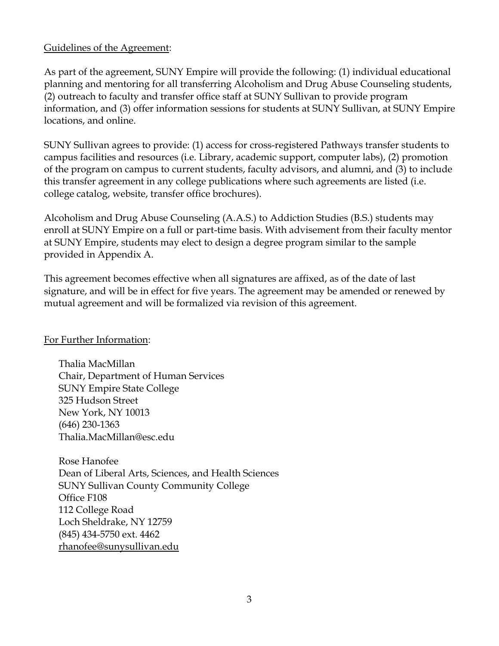#### Guidelines of the Agreement:

As part of the agreement, SUNY Empire will provide the following: (1) individual educational planning and mentoring for all transferring Alcoholism and Drug Abuse Counseling students, (2) outreach to faculty and transfer office staff at SUNY Sullivan to provide program information, and (3) offer information sessions for students at SUNY Sullivan, at SUNY Empire locations, and online.

SUNY Sullivan agrees to provide: (1) access for cross-registered Pathways transfer students to campus facilities and resources (i.e. Library, academic support, computer labs), (2) promotion of the program on campus to current students, faculty advisors, and alumni, and (3) to include this transfer agreement in any college publications where such agreements are listed (i.e. college catalog, website, transfer office brochures).

Alcoholism and Drug Abuse Counseling (A.A.S.) to Addiction Studies (B.S.) students may enroll at SUNY Empire on a full or part-time basis. With advisement from their faculty mentor at SUNY Empire, students may elect to design a degree program similar to the sample provided in Appendix A.

This agreement becomes effective when all signatures are affixed, as of the date of last signature, and will be in effect for five years. The agreement may be amended or renewed by mutual agreement and will be formalized via revision of this agreement.

For Further Information:

Thalia MacMillan Chair, Department of Human Services SUNY Empire State College 325 Hudson Street New York, NY 10013 (646) 230-1363 Thalia.MacMillan@esc.edu

Rose Hanofee Dean of Liberal Arts, Sciences, and Health Sciences SUNY Sullivan County Community College Office F108 112 College Road Loch Sheldrake, NY 12759 (845) 434-5750 ext. 4462 [rhanofee@sunysullivan.edu](mailto:rhanofee@sunysullivan.edu)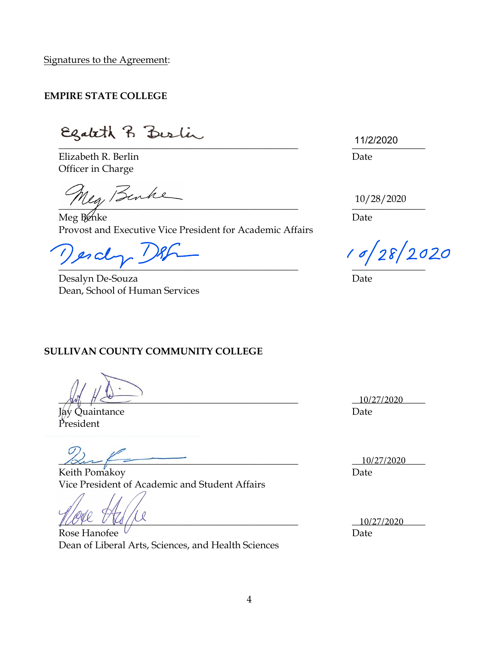Signatures to the Agreement:

#### **EMPIRE STATE COLLEGE**

Egateth R Bestin  $\overline{\phantom{a}}$   $\overline{\phantom{a}}$   $\overline{\phantom{a}}$   $\overline{\phantom{a}}$   $\overline{\phantom{a}}$   $\overline{\phantom{a}}$   $\overline{\phantom{a}}$   $\overline{\phantom{a}}$   $\overline{\phantom{a}}$   $\overline{\phantom{a}}$   $\overline{\phantom{a}}$   $\overline{\phantom{a}}$   $\overline{\phantom{a}}$   $\overline{\phantom{a}}$   $\overline{\phantom{a}}$   $\overline{\phantom{a}}$   $\overline{\phantom{a}}$   $\overline{\phantom{a}}$   $\overline{\$ 

Elizabeth R. Berlin Date Officer in Charge

 $\frac{10}{20}$ 

Meg Benke Date Date Provost and Executive Vice President for Academic Affairs

1) es al- $\overline{\phantom{a}}$  ,  $\overline{\phantom{a}}$  ,  $\overline{\phantom{a}}$  ,  $\overline{\phantom{a}}$  ,  $\overline{\phantom{a}}$  ,  $\overline{\phantom{a}}$  ,  $\overline{\phantom{a}}$  ,  $\overline{\phantom{a}}$  ,  $\overline{\phantom{a}}$  ,  $\overline{\phantom{a}}$  ,  $\overline{\phantom{a}}$  ,  $\overline{\phantom{a}}$  ,  $\overline{\phantom{a}}$  ,  $\overline{\phantom{a}}$  ,  $\overline{\phantom{a}}$  ,  $\overline{\phantom{a}}$ 

Desalyn De-Souza Date Dean, School of Human Services

11/2/2020

10/28/2020

#### **SULLIVAN COUNTY COMMUNITY COLLEGE**

 $\frac{10}{27/2020}$ 

**Ouaintance** Date President

 $\frac{10}{27/2020}$ 

Keith Pomakoy Date **Date** Vice President of Academic and Student Affairs

 $10/27/2020$ 

Rose Hanofee  $\vee$  Date Dean of Liberal Arts, Sciences, and Health Sciences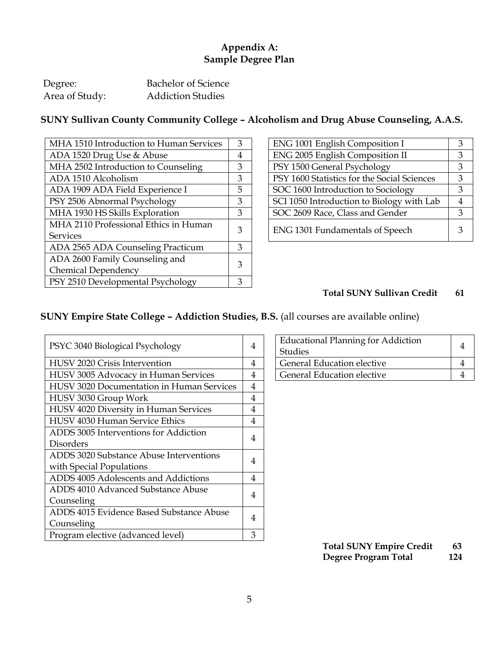## **Appendix A: Sample Degree Plan**

| Degree:        | Bachelor of Science      |
|----------------|--------------------------|
| Area of Study: | <b>Addiction Studies</b> |

## **SUNY Sullivan County Community College – Alcoholism and Drug Abuse Counseling, A.A.S.**

| MHA 1510 Introduction to Human Services | 3 | ENG 1001 English Composition I              |   |
|-----------------------------------------|---|---------------------------------------------|---|
| ADA 1520 Drug Use & Abuse               | 4 | ENG 2005 English Composition II             | 3 |
| MHA 2502 Introduction to Counseling     | 3 | PSY 1500 General Psychology                 | 3 |
| ADA 1510 Alcoholism                     | 3 | PSY 1600 Statistics for the Social Sciences | З |
| ADA 1909 ADA Field Experience I         | 5 | SOC 1600 Introduction to Sociology          | 3 |
| PSY 2506 Abnormal Psychology            | 3 | SCI 1050 Introduction to Biology with Lab   | 4 |
| MHA 1930 HS Skills Exploration          | 3 | SOC 2609 Race, Class and Gender             | 3 |
| MHA 2110 Professional Ethics in Human   | 3 | ENG 1301 Fundamentals of Speech             | 3 |
| <b>Services</b>                         |   |                                             |   |
| ADA 2565 ADA Counseling Practicum       | 3 |                                             |   |
| ADA 2600 Family Counseling and          | 3 |                                             |   |
| Chemical Dependency                     |   |                                             |   |
| PSY 2510 Developmental Psychology       | 3 |                                             |   |

| ENG 1001 English Composition I              | З |
|---------------------------------------------|---|
| ENG 2005 English Composition II             | 3 |
| PSY 1500 General Psychology                 | 3 |
| PSY 1600 Statistics for the Social Sciences | 3 |
| SOC 1600 Introduction to Sociology          | 3 |
| SCI 1050 Introduction to Biology with Lab   |   |
| SOC 2609 Race, Class and Gender             | 3 |
| ENG 1301 Fundamentals of Speech             | З |

## **Total SUNY Sullivan Credit 61**

## **SUNY Empire State College – Addiction Studies, B.S.** (all courses are available online)

| PSYC 3040 Biological Psychology                  | 4 | Educational Planning for Addiction<br><b>Studies</b> | 4 |
|--------------------------------------------------|---|------------------------------------------------------|---|
| HUSV 2020 Crisis Intervention                    | 4 | General Education elective                           | 4 |
| HUSV 3005 Advocacy in Human Services             | 4 | General Education elective                           | 4 |
| <b>HUSV 3020 Documentation in Human Services</b> | 4 |                                                      |   |
| HUSV 3030 Group Work                             | 4 |                                                      |   |
| HUSV 4020 Diversity in Human Services            | 4 |                                                      |   |
| HUSV 4030 Human Service Ethics                   | 4 |                                                      |   |
| ADDS 3005 Interventions for Addiction            | 4 |                                                      |   |
| Disorders                                        |   |                                                      |   |
| ADDS 3020 Substance Abuse Interventions          | 4 |                                                      |   |
| with Special Populations                         |   |                                                      |   |
| ADDS 4005 Adolescents and Addictions             | 4 |                                                      |   |
| ADDS 4010 Advanced Substance Abuse               | 4 |                                                      |   |
| Counseling                                       |   |                                                      |   |
| ADDS 4015 Evidence Based Substance Abuse         | 4 |                                                      |   |
| Counseling                                       |   |                                                      |   |
| Program elective (advanced level)                | 3 |                                                      |   |

| <b>Educational Planning for Addiction</b> |  |
|-------------------------------------------|--|
| Studies                                   |  |
| General Education elective                |  |
| General Education elective                |  |

| <b>Total SUNY Empire Credit</b> | 63  |
|---------------------------------|-----|
| Degree Program Total            | 124 |